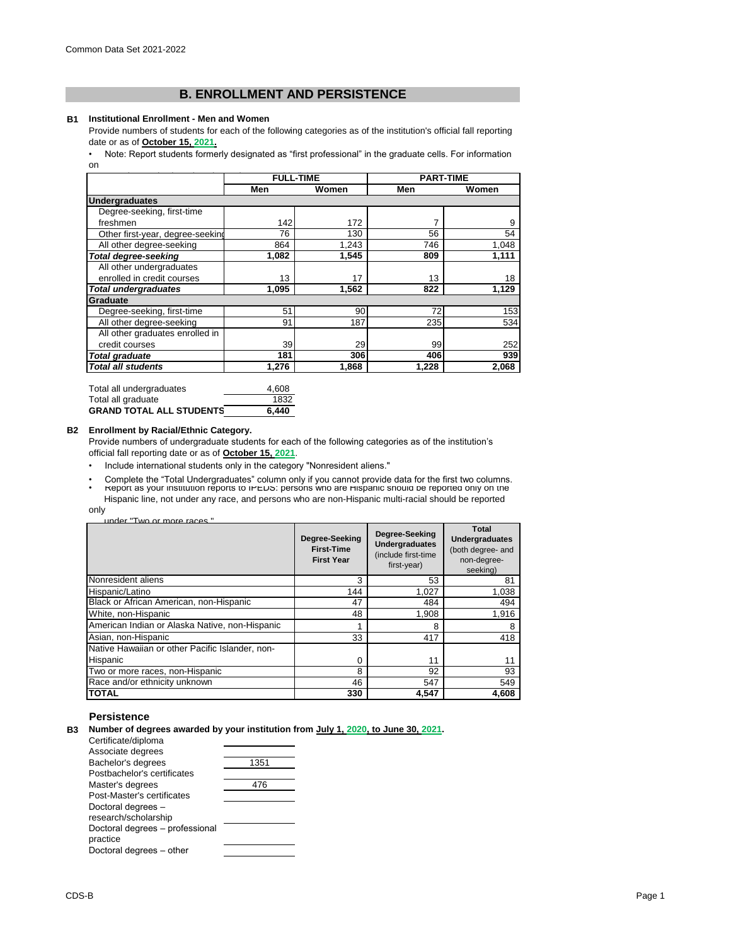# **B. ENROLLMENT AND PERSISTENCE**

#### **B1 Institutional Enrollment - Men and Women**

Provide numbers of students for each of the following categories as of the institution's official fall reporting date or as of **October 15, 2021.**

[• Note: Report students formerl](https://nces.ed.gov/ipeds/pdf/Reporting_Study_Abroad Students_5.31.17.pdf)y designated as "first professional" in the graduate cells. For information [on](https://nces.ed.gov/ipeds/pdf/Reporting_Study_Abroad Students_5.31.17.pdf) 

|                                  | <b>FULL-TIME</b> |       | <b>PART-TIME</b> |       |
|----------------------------------|------------------|-------|------------------|-------|
|                                  | Men              | Women | Men              | Women |
| <b>Undergraduates</b>            |                  |       |                  |       |
| Degree-seeking, first-time       |                  |       |                  |       |
| freshmen                         | 142              | 172   | 7                | 9     |
| Other first-year, degree-seeking | 76               | 130   | 56               | 54    |
| All other degree-seeking         | 864              | 1,243 | 746              | 1,048 |
| <b>Total degree-seeking</b>      | 1.082            | 1.545 | 809              | 1,111 |
| All other undergraduates         |                  |       |                  |       |
| enrolled in credit courses       | 13               | 17    | 13               | 18    |
| Total undergraduates             | 1,095            | 1,562 | 822              | 1,129 |
| Graduate                         |                  |       |                  |       |
| Degree-seeking, first-time       | 51               | 90    | 72               | 153   |
| All other degree-seeking         | 91               | 187   | 235              | 534   |
| All other graduates enrolled in  |                  |       |                  |       |
| credit courses                   | 39               | 29    | 99               | 252   |
| <b>Total graduate</b>            | 181              | 306   | 406              | 939   |
| Total all students               | 1,276            | 1,868 | 1,228            | 2,068 |

| Total all undergraduates        | 4.608 |
|---------------------------------|-------|
| Total all graduate              | 1832  |
| <b>GRAND TOTAL ALL STUDENTS</b> | 6.440 |

#### **B2 Enrollment by Racial/Ethnic Category.**

Provide numbers of undergraduate students for each of the following categories as of the institution's official fall reporting date or as of **October 15, 2021**.

- Include international students only in the category "Nonresident aliens."
- Complete the "Total Undergraduates" column only if you cannot provide data for the first two columns.<br>• Report as your institution reports to iPEDS: persons who are Hispanic should be reported only on the Hispanic line, not under any race, and persons who are non-Hispanic multi-racial should be reported

only

| under "Two or more races" |  |  |
|---------------------------|--|--|
|                           |  |  |

|                                                 | Degree-Seeking<br><b>First-Time</b><br><b>First Year</b> | Degree-Seeking<br><b>Undergraduates</b><br>(include first-time<br>first-year) | Total<br><b>Undergraduates</b><br>(both degree- and<br>non-degree-<br>seeking) |
|-------------------------------------------------|----------------------------------------------------------|-------------------------------------------------------------------------------|--------------------------------------------------------------------------------|
| Nonresident aliens                              | 3                                                        | 53                                                                            | 81                                                                             |
| Hispanic/Latino                                 | 144                                                      | 1,027                                                                         | 1,038                                                                          |
| Black or African American, non-Hispanic         | 47                                                       | 484                                                                           | 494                                                                            |
| White, non-Hispanic                             | 48                                                       | 1.908                                                                         | 1,916                                                                          |
| American Indian or Alaska Native, non-Hispanic  |                                                          | 8                                                                             |                                                                                |
| Asian, non-Hispanic                             | 33                                                       | 417                                                                           | 418                                                                            |
| Native Hawaiian or other Pacific Islander, non- |                                                          |                                                                               |                                                                                |
| Hispanic                                        | $\Omega$                                                 | 11                                                                            | 11                                                                             |
| Two or more races, non-Hispanic                 | 8                                                        | 92                                                                            | 93                                                                             |
| Race and/or ethnicity unknown                   | 46                                                       | 547                                                                           | 549                                                                            |
| <b>TOTAL</b>                                    | 330                                                      | 4.547                                                                         | 4,608                                                                          |

# **Persistence**

**B3 Number of degrees awarded by your institution from July 1, 2020, to June 30, 2021.**

| Certificate/diploma             |      |
|---------------------------------|------|
| Associate degrees               |      |
| Bachelor's degrees              | 1351 |
| Postbachelor's certificates     |      |
| Master's degrees                | 476  |
| Post-Master's certificates      |      |
| Doctoral degrees -              |      |
| research/scholarship            |      |
| Doctoral degrees - professional |      |
| practice                        |      |
| Doctoral degrees - other        |      |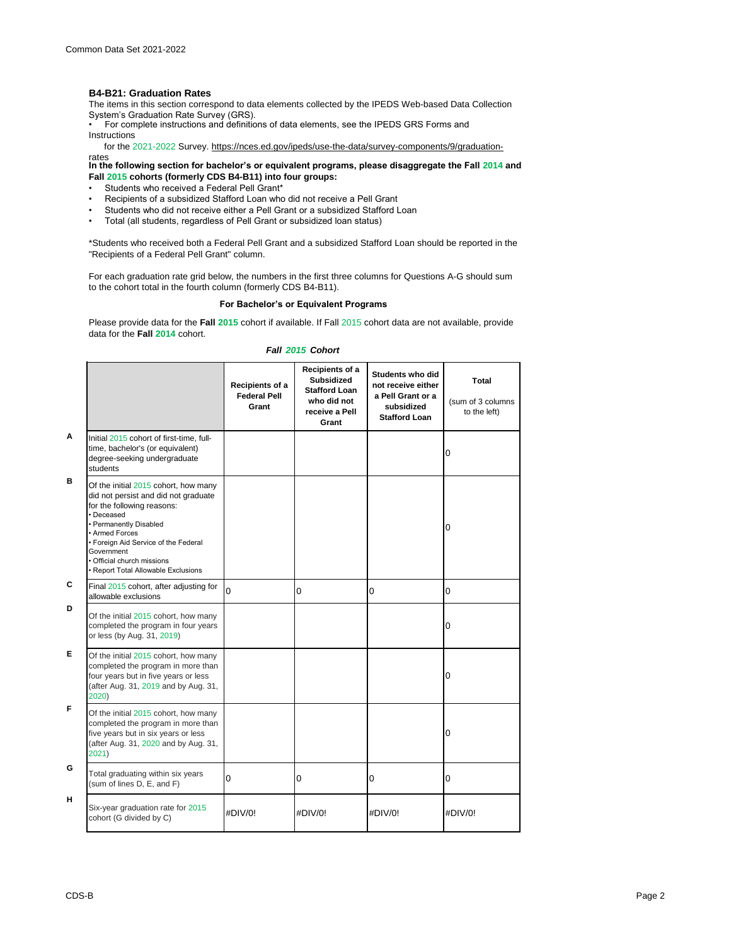### **B4-B21: Graduation Rates**

The items in this section correspond to data elements collected by the IPEDS Web-based Data Collection

System's Graduation Rate Survey (GRS).<br>• For complete instructions and definitions of data elements, see the IPEDS GRS Forms and . Instructions

for the 2021-2022 Survey. https://nces.ed.gov/ipeds/use-the-data/survey-components/9/graduation-

**In the following section for bachelor's or equivalent programs, please disaggregate the Fall 2014 and Fall 2015 cohorts (formerly CDS B4-B11) into four groups:** rates

- Students who received a Federal Pell Grant\*
- Recipients of a subsidized Stafford Loan who did not receive a Pell Grant
- Students who did not receive either a Pell Grant or a subsidized Stafford Loan<br>• Total (all students, regardless of Pell Grant or subsidized Ioan status)
- Total (all students, regardless of Pell Grant or subsidized loan status)

\*Students who received both a Federal Pell Grant and a subsidized Stafford Loan should be reported in the "Recipients of a Federal Pell Grant" column.

For each graduation rate grid below, the numbers in the first three columns for Questions A-G should sum to the cohort total in the fourth column (formerly CDS B4-B11).

# **For Bachelor's or Equivalent Programs**

Please provide data for the **Fall 2015** cohort if available. If Fall 2015 cohort data are not available, provide data for the **Fall 2014** cohort.

#### *Fall 2015 Cohort*

|   |                                                                                                                                                                                                                                                                                                 | Recipients of a<br><b>Federal Pell</b><br>Grant | Recipients of a<br><b>Subsidized</b><br><b>Stafford Loan</b><br>who did not<br>receive a Pell<br>Grant | Students who did<br>not receive either<br>a Pell Grant or a<br>subsidized<br><b>Stafford Loan</b> | Total<br>(sum of 3 columns<br>to the left) |
|---|-------------------------------------------------------------------------------------------------------------------------------------------------------------------------------------------------------------------------------------------------------------------------------------------------|-------------------------------------------------|--------------------------------------------------------------------------------------------------------|---------------------------------------------------------------------------------------------------|--------------------------------------------|
| A | Initial 2015 cohort of first-time, full-<br>time, bachelor's (or equivalent)<br>degree-seeking undergraduate<br>students                                                                                                                                                                        |                                                 |                                                                                                        |                                                                                                   | 0                                          |
| в | Of the initial 2015 cohort, how many<br>did not persist and did not graduate<br>for the following reasons:<br>· Deceased<br>• Permanently Disabled<br>• Armed Forces<br>• Foreign Aid Service of the Federal<br>Government<br>• Official church missions<br>• Report Total Allowable Exclusions |                                                 |                                                                                                        |                                                                                                   | 0                                          |
| C | Final 2015 cohort, after adjusting for<br>allowable exclusions                                                                                                                                                                                                                                  | 0                                               | 0                                                                                                      | 0                                                                                                 | 0                                          |
| D | Of the initial 2015 cohort, how many<br>completed the program in four years<br>or less (by Aug. 31, 2019)                                                                                                                                                                                       |                                                 |                                                                                                        |                                                                                                   | 0                                          |
| Е | Of the initial 2015 cohort, how many<br>completed the program in more than<br>four years but in five years or less<br>(after Aug. 31, 2019 and by Aug. 31,<br>2020)                                                                                                                             |                                                 |                                                                                                        |                                                                                                   | 0                                          |
| F | Of the initial 2015 cohort, how many<br>completed the program in more than<br>five years but in six years or less<br>(after Aug. 31, 2020 and by Aug. 31,<br>2021)                                                                                                                              |                                                 |                                                                                                        |                                                                                                   | 0                                          |
| G | Total graduating within six years<br>(sum of lines D, E, and F)                                                                                                                                                                                                                                 | 0                                               | 0                                                                                                      | 0                                                                                                 | 0                                          |
| н | Six-year graduation rate for 2015<br>cohort (G divided by C)                                                                                                                                                                                                                                    | #DIV/0!                                         | #DIV/0!                                                                                                | #DIV/0!                                                                                           | #DIV/0!                                    |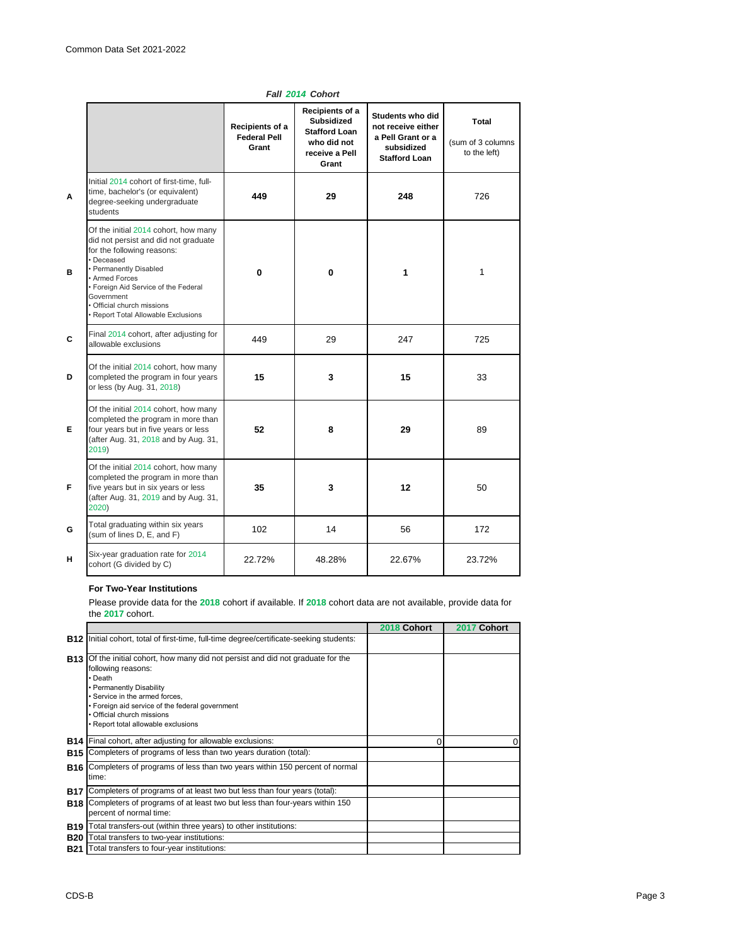|   |                                                                                                                                                                                                                                                                                               | Recipients of a<br><b>Federal Pell</b><br>Grant | Recipients of a<br><b>Subsidized</b><br><b>Stafford Loan</b><br>who did not<br>receive a Pell<br>Grant | Students who did<br>not receive either<br>a Pell Grant or a<br>subsidized<br><b>Stafford Loan</b> | <b>Total</b><br>(sum of 3 columns<br>to the left) |
|---|-----------------------------------------------------------------------------------------------------------------------------------------------------------------------------------------------------------------------------------------------------------------------------------------------|-------------------------------------------------|--------------------------------------------------------------------------------------------------------|---------------------------------------------------------------------------------------------------|---------------------------------------------------|
| Α | Initial 2014 cohort of first-time, full-<br>time, bachelor's (or equivalent)<br>degree-seeking undergraduate<br>students                                                                                                                                                                      | 449                                             | 29                                                                                                     | 248                                                                                               | 726                                               |
| в | Of the initial 2014 cohort, how many<br>did not persist and did not graduate<br>for the following reasons:<br>· Deceased<br>• Permanently Disabled<br>• Armed Forces<br>• Foreign Aid Service of the Federal<br>Government<br>· Official church missions<br>Report Total Allowable Exclusions | $\bf{0}$                                        | $\mathbf{0}$                                                                                           | 1                                                                                                 | 1                                                 |
| C | Final 2014 cohort, after adjusting for<br>allowable exclusions                                                                                                                                                                                                                                | 449                                             | 29                                                                                                     | 247                                                                                               | 725                                               |
| D | Of the initial 2014 cohort, how many<br>completed the program in four years<br>or less (by Aug. 31, 2018)                                                                                                                                                                                     | 15                                              | 3                                                                                                      | 15                                                                                                | 33                                                |
| Е | Of the initial 2014 cohort, how many<br>completed the program in more than<br>four years but in five years or less<br>(after Aug. 31, 2018 and by Aug. 31,<br>2019)                                                                                                                           | 52                                              | 8                                                                                                      | 29                                                                                                | 89                                                |
| F | Of the initial 2014 cohort, how many<br>completed the program in more than<br>five years but in six years or less<br>(after Aug. 31, 2019 and by Aug. 31,<br>2020)                                                                                                                            | 35                                              | 3                                                                                                      | 12                                                                                                | 50                                                |
| G | Total graduating within six years<br>(sum of lines D, E, and F)                                                                                                                                                                                                                               | 102                                             | 14                                                                                                     | 56                                                                                                | 172                                               |
| н | Six-year graduation rate for 2014<br>cohort (G divided by C)                                                                                                                                                                                                                                  | 22.72%                                          | 48.28%                                                                                                 | 22.67%                                                                                            | 23.72%                                            |

# *Fall 2014 Cohort*

## **For Two-Year Institutions**

Please provide data for the **2018** cohort if available. If **2018** cohort data are not available, provide data for the **2017** cohort.

|            |                                                                                                                                                                                                                                                                                                                | 2018 Cohort | 2017 Cohort |
|------------|----------------------------------------------------------------------------------------------------------------------------------------------------------------------------------------------------------------------------------------------------------------------------------------------------------------|-------------|-------------|
| <b>B12</b> | Initial cohort, total of first-time, full-time degree/certificate-seeking students:                                                                                                                                                                                                                            |             |             |
|            | <b>B13</b> Of the initial cohort, how many did not persist and did not graduate for the<br>following reasons:<br>• Death<br>• Permanently Disability<br>· Service in the armed forces.<br>• Foreign aid service of the federal government<br>• Official church missions<br>· Report total allowable exclusions |             |             |
|            | <b>B14</b> Final cohort, after adjusting for allowable exclusions:                                                                                                                                                                                                                                             | 0           | $\Omega$    |
| <b>B15</b> | Completers of programs of less than two years duration (total):                                                                                                                                                                                                                                                |             |             |
|            | <b>B16</b> Completers of programs of less than two years within 150 percent of normal<br>time:                                                                                                                                                                                                                 |             |             |
| B17        | Completers of programs of at least two but less than four years (total):                                                                                                                                                                                                                                       |             |             |
|            | <b>B18</b> Completers of programs of at least two but less than four-years within 150<br>percent of normal time:                                                                                                                                                                                               |             |             |
| B19        | Total transfers-out (within three years) to other institutions:                                                                                                                                                                                                                                                |             |             |
| <b>B20</b> | Total transfers to two-year institutions:                                                                                                                                                                                                                                                                      |             |             |
| <b>B21</b> | Total transfers to four-year institutions:                                                                                                                                                                                                                                                                     |             |             |